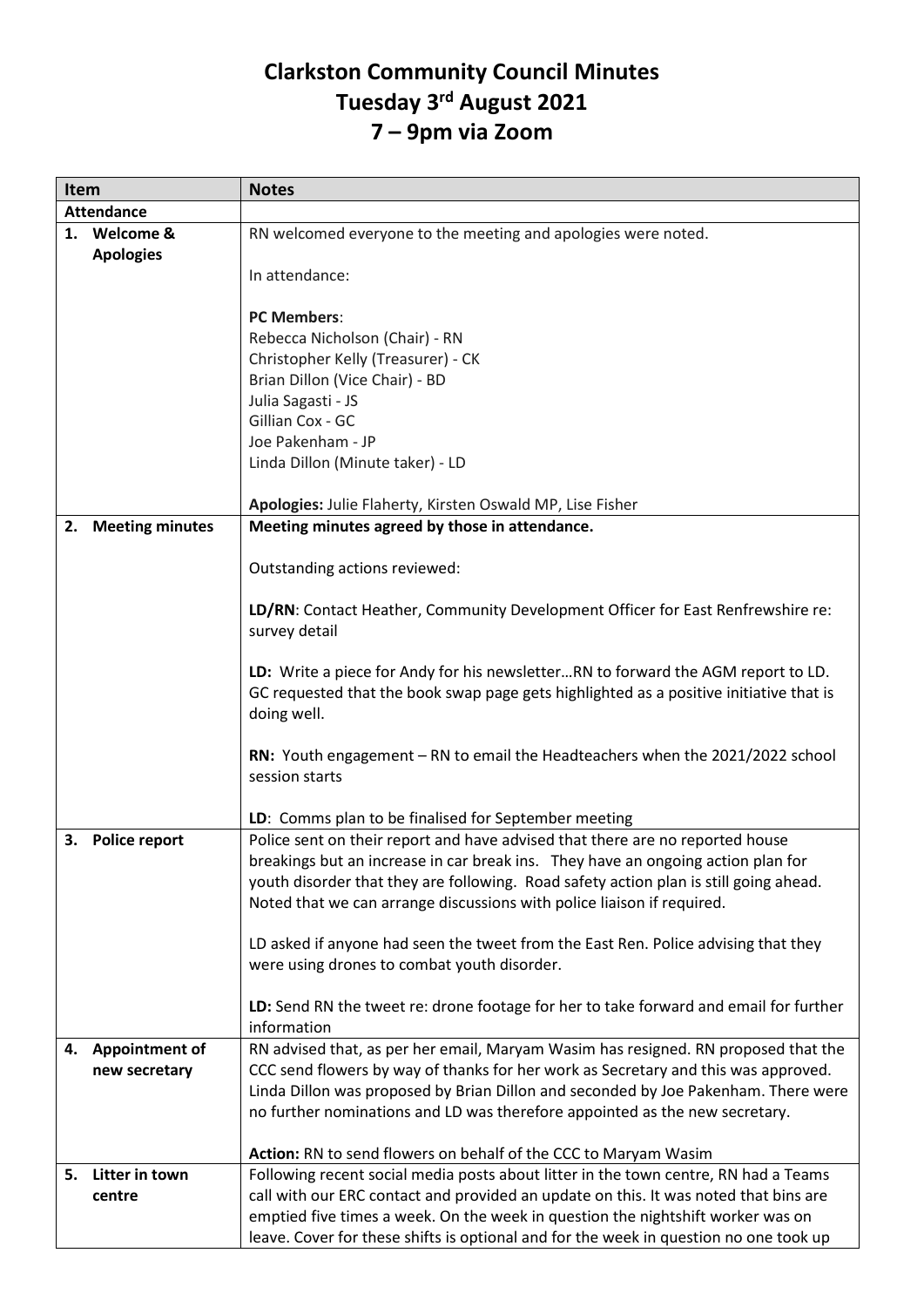## **Clarkston Community Council Minutes Tuesday 3rd August 2021 7 – 9pm via Zoom**

| Item              |                       | <b>Notes</b>                                                                           |
|-------------------|-----------------------|----------------------------------------------------------------------------------------|
| <b>Attendance</b> |                       |                                                                                        |
|                   | 1. Welcome &          | RN welcomed everyone to the meeting and apologies were noted.                          |
|                   | <b>Apologies</b>      |                                                                                        |
|                   |                       | In attendance:                                                                         |
|                   |                       |                                                                                        |
|                   |                       | <b>PC Members:</b>                                                                     |
|                   |                       | Rebecca Nicholson (Chair) - RN                                                         |
|                   |                       | Christopher Kelly (Treasurer) - CK                                                     |
|                   |                       | Brian Dillon (Vice Chair) - BD                                                         |
|                   |                       | Julia Sagasti - JS                                                                     |
|                   |                       | Gillian Cox - GC                                                                       |
|                   |                       | Joe Pakenham - JP                                                                      |
|                   |                       | Linda Dillon (Minute taker) - LD                                                       |
|                   |                       |                                                                                        |
|                   |                       | Apologies: Julie Flaherty, Kirsten Oswald MP, Lise Fisher                              |
|                   | 2. Meeting minutes    | Meeting minutes agreed by those in attendance.                                         |
|                   |                       |                                                                                        |
|                   |                       | Outstanding actions reviewed:                                                          |
|                   |                       |                                                                                        |
|                   |                       | LD/RN: Contact Heather, Community Development Officer for East Renfrewshire re:        |
|                   |                       | survey detail                                                                          |
|                   |                       |                                                                                        |
|                   |                       | LD: Write a piece for Andy for his newsletterRN to forward the AGM report to LD.       |
|                   |                       | GC requested that the book swap page gets highlighted as a positive initiative that is |
|                   |                       | doing well.                                                                            |
|                   |                       |                                                                                        |
|                   |                       | RN: Youth engagement - RN to email the Headteachers when the 2021/2022 school          |
|                   |                       | session starts                                                                         |
|                   |                       |                                                                                        |
|                   |                       | LD: Comms plan to be finalised for September meeting                                   |
| З.                | Police report         | Police sent on their report and have advised that there are no reported house          |
|                   |                       | breakings but an increase in car break ins. They have an ongoing action plan for       |
|                   |                       | youth disorder that they are following. Road safety action plan is still going ahead.  |
|                   |                       | Noted that we can arrange discussions with police liaison if required.                 |
|                   |                       |                                                                                        |
|                   |                       | LD asked if anyone had seen the tweet from the East Ren. Police advising that they     |
|                   |                       | were using drones to combat youth disorder.                                            |
|                   |                       |                                                                                        |
|                   |                       | LD: Send RN the tweet re: drone footage for her to take forward and email for further  |
|                   |                       | information                                                                            |
| 4.                |                       | RN advised that, as per her email, Maryam Wasim has resigned. RN proposed that the     |
|                   | <b>Appointment of</b> |                                                                                        |
|                   | new secretary         | CCC send flowers by way of thanks for her work as Secretary and this was approved.     |
|                   |                       | Linda Dillon was proposed by Brian Dillon and seconded by Joe Pakenham. There were     |
|                   |                       | no further nominations and LD was therefore appointed as the new secretary.            |
|                   |                       |                                                                                        |
|                   |                       | Action: RN to send flowers on behalf of the CCC to Maryam Wasim                        |
| 5.                | Litter in town        | Following recent social media posts about litter in the town centre, RN had a Teams    |
|                   | centre                | call with our ERC contact and provided an update on this. It was noted that bins are   |
|                   |                       | emptied five times a week. On the week in question the nightshift worker was on        |
|                   |                       | leave. Cover for these shifts is optional and for the week in question no one took up  |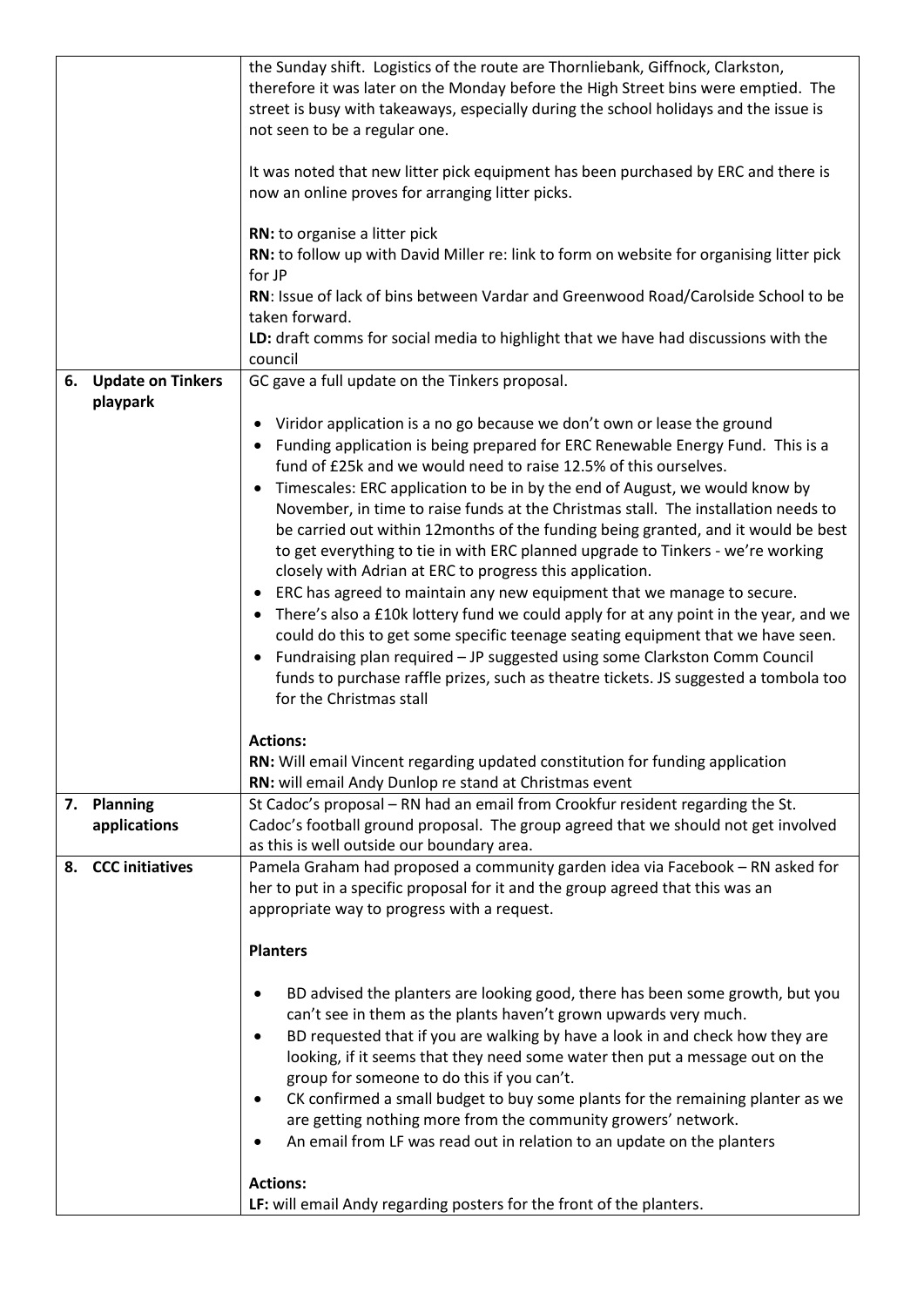|                                  | the Sunday shift. Logistics of the route are Thornliebank, Giffnock, Clarkston,<br>therefore it was later on the Monday before the High Street bins were emptied. The<br>street is busy with takeaways, especially during the school holidays and the issue is<br>not seen to be a regular one.<br>It was noted that new litter pick equipment has been purchased by ERC and there is<br>now an online proves for arranging litter picks.<br>RN: to organise a litter pick<br>RN: to follow up with David Miller re: link to form on website for organising litter pick<br>for JP<br>RN: Issue of lack of bins between Vardar and Greenwood Road/Carolside School to be<br>taken forward.<br>LD: draft comms for social media to highlight that we have had discussions with the<br>council                                                                                                                                                                                                                                                                                                                                                                                |
|----------------------------------|----------------------------------------------------------------------------------------------------------------------------------------------------------------------------------------------------------------------------------------------------------------------------------------------------------------------------------------------------------------------------------------------------------------------------------------------------------------------------------------------------------------------------------------------------------------------------------------------------------------------------------------------------------------------------------------------------------------------------------------------------------------------------------------------------------------------------------------------------------------------------------------------------------------------------------------------------------------------------------------------------------------------------------------------------------------------------------------------------------------------------------------------------------------------------|
| 6. Update on Tinkers<br>playpark | GC gave a full update on the Tinkers proposal.<br>Viridor application is a no go because we don't own or lease the ground<br>Funding application is being prepared for ERC Renewable Energy Fund. This is a<br>fund of £25k and we would need to raise 12.5% of this ourselves.<br>Timescales: ERC application to be in by the end of August, we would know by<br>$\bullet$<br>November, in time to raise funds at the Christmas stall. The installation needs to<br>be carried out within 12months of the funding being granted, and it would be best<br>to get everything to tie in with ERC planned upgrade to Tinkers - we're working<br>closely with Adrian at ERC to progress this application.<br>• ERC has agreed to maintain any new equipment that we manage to secure.<br>There's also a £10k lottery fund we could apply for at any point in the year, and we<br>could do this to get some specific teenage seating equipment that we have seen.<br>Fundraising plan required - JP suggested using some Clarkston Comm Council<br>$\bullet$<br>funds to purchase raffle prizes, such as theatre tickets. JS suggested a tombola too<br>for the Christmas stall |
|                                  | <b>Actions:</b><br>RN: Will email Vincent regarding updated constitution for funding application<br>RN: will email Andy Dunlop re stand at Christmas event                                                                                                                                                                                                                                                                                                                                                                                                                                                                                                                                                                                                                                                                                                                                                                                                                                                                                                                                                                                                                 |
| 7. Planning<br>applications      | St Cadoc's proposal - RN had an email from Crookfur resident regarding the St.<br>Cadoc's football ground proposal. The group agreed that we should not get involved<br>as this is well outside our boundary area.                                                                                                                                                                                                                                                                                                                                                                                                                                                                                                                                                                                                                                                                                                                                                                                                                                                                                                                                                         |
| <b>CCC</b> initiatives<br>8.     | Pamela Graham had proposed a community garden idea via Facebook - RN asked for<br>her to put in a specific proposal for it and the group agreed that this was an<br>appropriate way to progress with a request.<br><b>Planters</b><br>BD advised the planters are looking good, there has been some growth, but you<br>$\bullet$<br>can't see in them as the plants haven't grown upwards very much.<br>BD requested that if you are walking by have a look in and check how they are<br>$\bullet$<br>looking, if it seems that they need some water then put a message out on the<br>group for someone to do this if you can't.<br>CK confirmed a small budget to buy some plants for the remaining planter as we<br>٠<br>are getting nothing more from the community growers' network.<br>An email from LF was read out in relation to an update on the planters<br>$\bullet$<br><b>Actions:</b><br>LF: will email Andy regarding posters for the front of the planters.                                                                                                                                                                                                 |